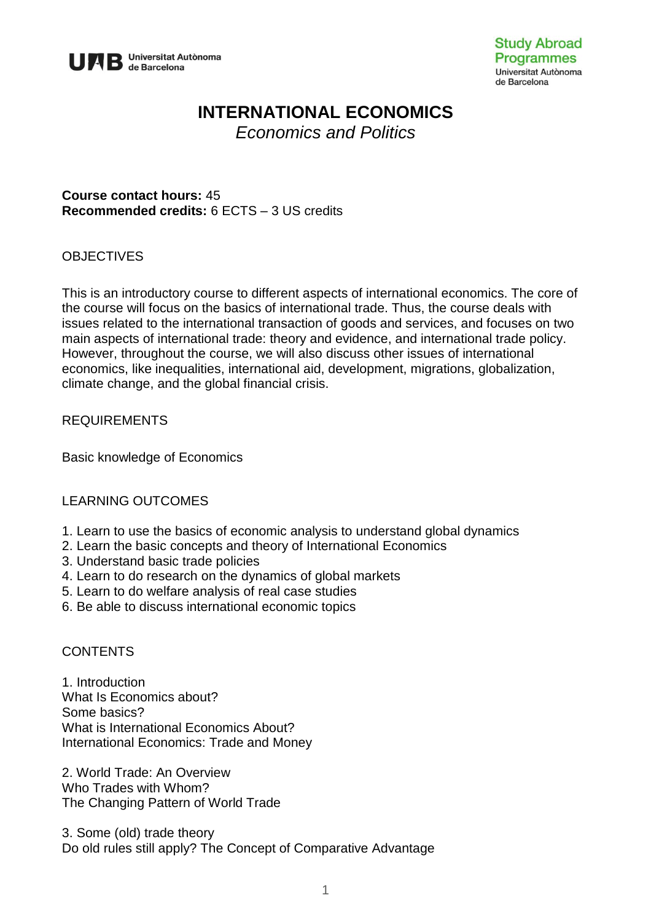

# **INTERNATIONAL ECONOMICS**

*Economics and Politics*

**Course contact hours:** 45 **Recommended credits:** 6 ECTS – 3 US credits

# **OBJECTIVES**

This is an introductory course to different aspects of international economics. The core of the course will focus on the basics of international trade. Thus, the course deals with issues related to the international transaction of goods and services, and focuses on two main aspects of international trade: theory and evidence, and international trade policy. However, throughout the course, we will also discuss other issues of international economics, like inequalities, international aid, development, migrations, globalization, climate change, and the global financial crisis.

### REQUIREMENTS

Basic knowledge of Economics

#### LEARNING OUTCOMES

- 1. Learn to use the basics of economic analysis to understand global dynamics
- 2. Learn the basic concepts and theory of International Economics
- 3. Understand basic trade policies
- 4. Learn to do research on the dynamics of global markets
- 5. Learn to do welfare analysis of real case studies
- 6. Be able to discuss international economic topics

#### **CONTENTS**

1. Introduction What Is Economics about? Some basics? What is International Economics About? International Economics: Trade and Money

2. World Trade: An Overview Who Trades with Whom? The Changing Pattern of World Trade

3. Some (old) trade theory Do old rules still apply? The Concept of Comparative Advantage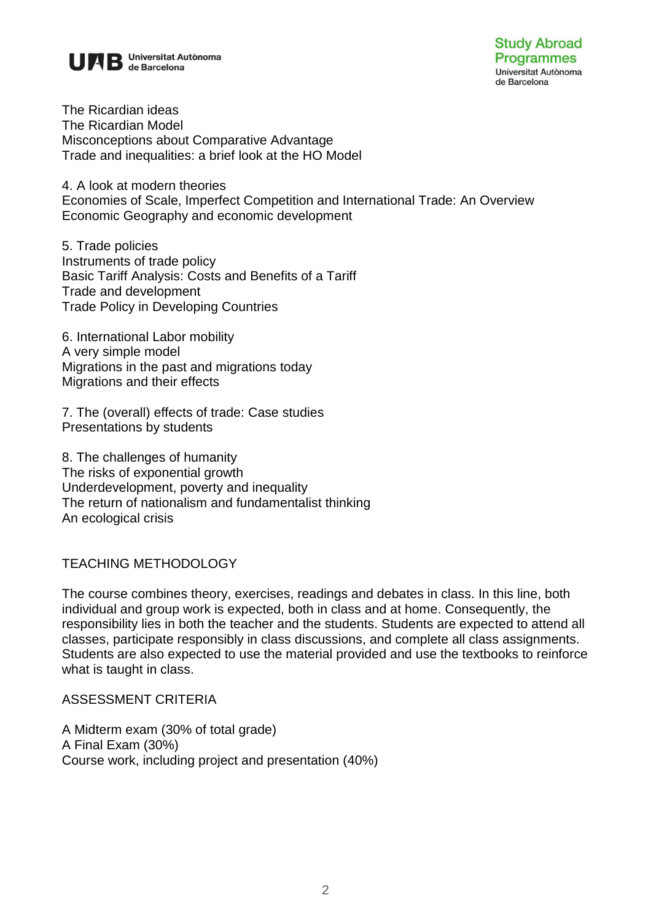

The Ricardian ideas The Ricardian Model Misconceptions about Comparative Advantage Trade and inequalities: a brief look at the HO Model

4. A look at modern theories Economies of Scale, Imperfect Competition and International Trade: An Overview Economic Geography and economic development

5. Trade policies Instruments of trade policy Basic Tariff Analysis: Costs and Benefits of a Tariff Trade and development Trade Policy in Developing Countries

6. International Labor mobility A very simple model Migrations in the past and migrations today Migrations and their effects

7. The (overall) effects of trade: Case studies Presentations by students

8. The challenges of humanity The risks of exponential growth Underdevelopment, poverty and inequality The return of nationalism and fundamentalist thinking An ecological crisis

# TEACHING METHODOLOGY

The course combines theory, exercises, readings and debates in class. In this line, both individual and group work is expected, both in class and at home. Consequently, the responsibility lies in both the teacher and the students. Students are expected to attend all classes, participate responsibly in class discussions, and complete all class assignments. Students are also expected to use the material provided and use the textbooks to reinforce what is taught in class.

#### ASSESSMENT CRITERIA

A Midterm exam (30% of total grade) A Final Exam (30%) Course work, including project and presentation (40%)